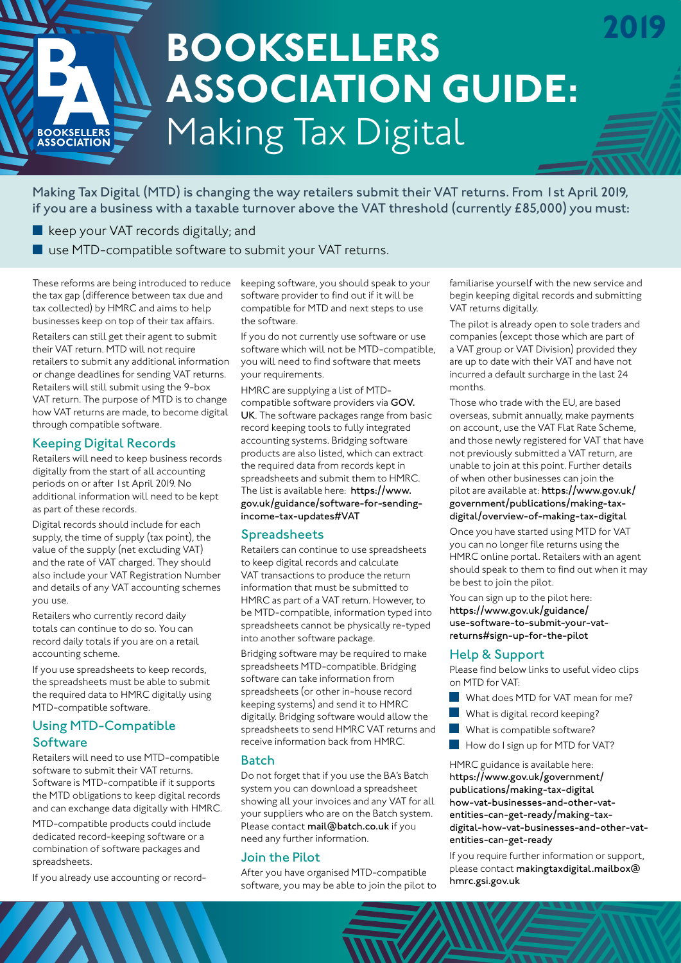# Making Tax Digital **BOOKSELLERS ASSOCIATION GUIDE:**

Making Tax Digital (MTD) is changing the way retailers submit their VAT returns. From 1st April 2019, if you are a business with a taxable turnover above the VAT threshold (currently £85,000) you must:

keep your VAT records digitally; and

BOOKSELLERS<br>ASSOCIATION

■ use MTD-compatible software to submit your VAT returns.

These reforms are being introduced to reduce the tax gap (difference between tax due and tax collected) by HMRC and aims to help businesses keep on top of their tax affairs.

Retailers can still get their agent to submit their VAT return. MTD will not require retailers to submit any additional information or change deadlines for sending VAT returns. Retailers will still submit using the 9-box VAT return. The purpose of MTD is to change how VAT returns are made, to become digital through compatible software.

# Keeping Digital Records

Retailers will need to keep business records digitally from the start of all accounting periods on or after 1st April 2019. No additional information will need to be kept as part of these records.

Digital records should include for each supply, the time of supply (tax point), the value of the supply (net excluding VAT) and the rate of VAT charged. They should also include your VAT Registration Number and details of any VAT accounting schemes you use.

Retailers who currently record daily totals can continue to do so. You can record daily totals if you are on a retail accounting scheme.

If you use spreadsheets to keep records, the spreadsheets must be able to submit the required data to HMRC digitally using MTD-compatible software.

# Using MTD-Compatible **Software**

Retailers will need to use MTD-compatible software to submit their VAT returns. Software is MTD-compatible if it supports the MTD obligations to keep digital records and can exchange data digitally with HMRC.

MTD-compatible products could include dedicated record-keeping software or a combination of software packages and spreadsheets.

If you already use accounting or record-

keeping software, you should speak to your software provider to find out if it will be compatible for MTD and next steps to use the software.

If you do not currently use software or use software which will not be MTD-compatible, you will need to find software that meets your requirements.

HMRC are supplying a list of MTDcompatible software providers via GOV. UK. The software packages range from basic record keeping tools to fully integrated accounting systems. Bridging software products are also listed, which can extract the required data from records kept in spreadsheets and submit them to HMRC. The list is available here: https://www. gov.uk/guidance/software-for-sendingincome-tax-updates#VAT

# Spreadsheets

Retailers can continue to use spreadsheets to keep digital records and calculate VAT transactions to produce the return information that must be submitted to HMRC as part of a VAT return. However, to be MTD-compatible, information typed into spreadsheets cannot be physically re-typed into another software package.

Bridging software may be required to make spreadsheets MTD-compatible. Bridging software can take information from spreadsheets (or other in-house record keeping systems) and send it to HMRC digitally. Bridging software would allow the spreadsheets to send HMRC VAT returns and receive information back from HMRC.

# Batch

Do not forget that if you use the BA's Batch system you can download a spreadsheet showing all your invoices and any VAT for all your suppliers who are on the Batch system. Please contact mail@batch.co.uk if you need any further information.

# Join the Pilot

After you have organised MTD-compatible software, you may be able to join the pilot to familiarise yourself with the new service and begin keeping digital records and submitting VAT returns digitally.

**2019**

The pilot is already open to sole traders and companies (except those which are part of a VAT group or VAT Division) provided they are up to date with their VAT and have not incurred a default surcharge in the last 24 months.

Those who trade with the EU, are based overseas, submit annually, make payments on account, use the VAT Flat Rate Scheme, and those newly registered for VAT that have not previously submitted a VAT return, are unable to join at this point. Further details of when other businesses can join the pilot are available at: https://www.gov.uk/ government/publications/making-taxdigital/overview-of-making-tax-digital

Once you have started using MTD for VAT you can no longer file returns using the HMRC online portal. Retailers with an agent should speak to them to find out when it may be best to join the pilot.

You can sign up to the pilot here: https://www.gov.uk/guidance/ use-software-to-submit-your-vatreturns#sign-up-for-the-pilot

# Help & Support

Please find below links to useful video clips on MTD for VAT:

- What does MTD for VAT mean for me?
- What is digital record keeping?
- What is compatible software?
- How do I sign up for MTD for VAT?

HMRC guidance is available here: https://www.gov.uk/government/ publications/making-tax-digital how-vat-businesses-and-other-vatentities-can-get-ready/making-taxdigital-how-vat-businesses-and-other-vatentities-can-get-ready

If you require further information or support, please contact makingtaxdigital.mailbox@ hmrc.gsi.gov.uk